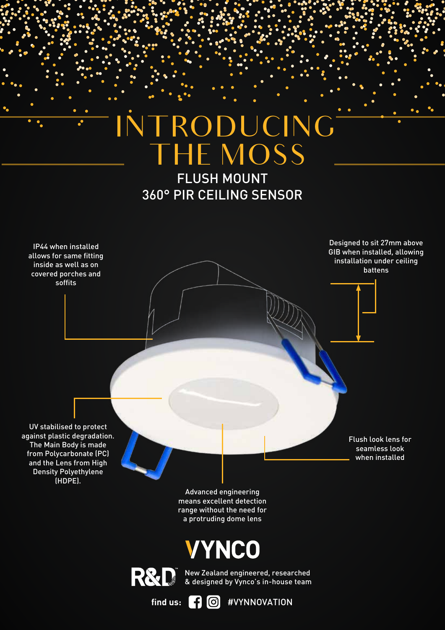## THE MOSS INTRODUCING

FLUSH MOUNT 360° PIR CEILING SENSOR





 $\mathring{\mathsf{T}}$  . New Zealand engineered, researched & designed by Vynco's in-house team

find us: **[4**] **[6**] #VYNNOVATION